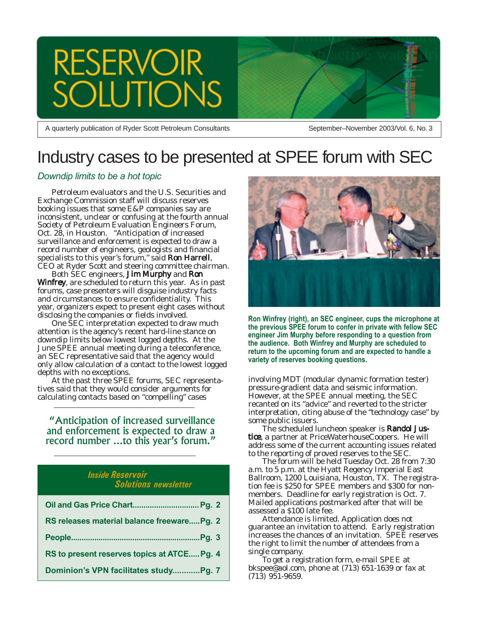

A quarterly publication of Ryder Scott Petroleum Consultants

September–November 2003/Vol. 6, No. 3

### Industry cases to be presented at SPEE forum with SEC

### *Downdip limits to be a hot topic*

Petroleum evaluators and the U.S. Securities and Exchange Commission staff will discuss reserves booking issues that some E&P companies say are inconsistent, unclear or confusing at the fourth annual Society of Petroleum Evaluation Engineers Forum, Oct. 28, in Houston. "Anticipation of increased surveillance and enforcement is expected to draw a record number of engineers, geologists and financial specialists to this year's forum," said Ron Harrell, CEO at Ryder Scott and steering committee chairman.

Both SEC engineers, Jim Murphy and Ron Winfrey, are scheduled to return this year. As in past forums, case presenters will disguise industry facts and circumstances to ensure confidentiality. This year, organizers expect to present eight cases without disclosing the companies or fields involved.

One SEC interpretation expected to draw much attention is the agency's recent hard-line stance on downdip limits below lowest logged depths. At the June SPEE annual meeting during a teleconference, an SEC representative said that the agency would only allow calculation of a contact to the lowest logged depths with no exceptions.

At the past three SPEE forums, SEC representatives said that they would consider arguments for calculating contacts based on "compelling" cases

 "Anticipation of increased surveillance and enforcement is expected to draw a record number ...to this year's forum."

### *Inside Reservoir Solutions newsletter*

| RS releases material balance freewarePg. 2  |
|---------------------------------------------|
|                                             |
| RS to present reserves topics at ATCE Pg. 4 |
| Dominion's VPN facilitates studyPg. 7       |



**Ron Winfrey (right), an SEC engineer, cups the microphone at the previous SPEE forum to confer in private with fellow SEC engineer Jim Murphy before responding to a question from the audience. Both Winfrey and Murphy are scheduled to return to the upcoming forum and are expected to handle a variety of reserves booking questions.**

involving MDT (modular dynamic formation tester) pressure-gradient data and seismic information. However, at the SPEE annual meeting, the SEC recanted on its "advice" and reverted to the stricter interpretation, citing abuse of the "technology case" by some public issuers.

The scheduled luncheon speaker is Randol Justice, a partner at PriceWaterhouseCoopers. He will address some of the current accounting issues related to the reporting of proved reserves to the SEC.

The forum will be held Tuesday Oct. 28 from 7:30 a.m. to 5 p.m. at the Hyatt Regency Imperial East Ballroom, 1200 Louisiana, Houston, TX. The registration fee is \$250 for SPEE members and \$300 for nonmembers. Deadline for early registration is Oct. 7. Mailed applications postmarked after that will be assessed a \$100 late fee.

Attendance is limited. Application does not guarantee an invitation to attend. Early registration increases the chances of an invitation. SPEE reserves the right to limit the number of attendees from a single company.

To get a registration form, e-mail SPEE at bkspee@aol.com, phone at (713) 651-1639 or fax at (713) 951-9659.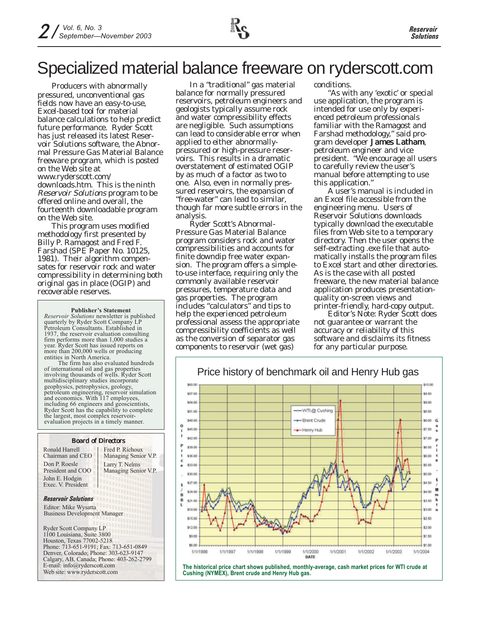## Specialized material balance freeware on ryderscott.com

Producers with abnormally pressured, unconventional gas fields now have an easy-to-use, Excel-based tool for material balance calculations to help predict future performance. Ryder Scott has just released its latest *Reservoir Solutions* software, the Abnormal Pressure Gas Material Balance freeware program, which is posted on the Web site at www.ryderscott.com/ downloads.htm. This is the ninth Reservoir Solutions program to be offered online and overall, the fourteenth downloadable program on the Web site.

This program uses modified methodology first presented by Billy P. Ramagost and Fred F. Farshad (SPE Paper No. 10125, 1981). Their algorithm compensates for reservoir rock and water compressibility in determining both original gas in place (OGIP) and recoverable reserves.

#### **Publisher's Statement**

*Reservoir Solutions* newsletter is published quarterly by Ryder Scott Company LP Petroleum Consultants. Established in 1937, the reservoir evaluation consulting firm performs more than 1,000 studies a year. Ryder Scott has issued reports on more than 200,000 wells or producing entities in North America.

The firm has also evaluated hundreds of international oil and gas properties involving thousands of wells. Ryder Scott multidisciplinary studies incorporate geophysics, petrophysics, geology, petroleum engineering, reservoir simulation and economics. With 117 employees, including 66 engineers and geoscientists, Ryder Scott has the capability to complete the largest, most complex reservoirevaluation projects in a timely manner.

### Board of Directors

Ronald Harrell Chairman and CEO Don P. Roesle President and COO John E. Hodgin Exec. V. President

Larry T. Nelms Managing Senior V.P. Fred P. Richoux Managing Senior V.P.

#### *Reservoir Solutions*

Editor: Mike Wysatta Business Development Manager

Ryder Scott Company LP 1100 Louisiana, Suite 3800 Houston, Texas 77002-5218 Phone: 713-651-9191; Fax: 713-651-0849 Denver, Colorado; Phone: 303-623-9147 Calgary, AB, Canada; Phone: 403-262-2799 E-mail: info@ryderscott.com Web site: www.ryderscott.com

In a "traditional" gas material balance for normally pressured reservoirs, petroleum engineers and geologists typically assume rock and water compressibility effects are negligible. Such assumptions can lead to considerable error when applied to either abnormallypressured or high-pressure reservoirs. This results in a dramatic overstatement of estimated OGIP by as much of a factor as two to one. Also, even in normally pressured reservoirs, the expansion of "free-water" can lead to similar, though far more subtle errors in the analysis.

Ryder Scott's Abnormal-Pressure Gas Material Balance program considers rock and water compressibilities and accounts for finite downdip free water expansion. The program offers a simpleto-use interface, requiring only the commonly available reservoir pressures, temperature data and gas properties. The program includes "calculators" and tips to help the experienced petroleum professional assess the appropriate compressibility coefficients as well as the conversion of separator gas components to reservoir (wet gas)

conditions.

"As with any 'exotic' or special use application, the program is intended for use only by experienced petroleum professionals familiar with the Ramagost and Farshad methodology," said program developer James Latham, petroleum engineer and vice president. "We encourage all users to carefully review the user's manual before attempting to use this application."

A user's manual is included in an Excel file accessible from the engineering menu. Users of Reservoir Solutions downloads typically download the executable files from Web site to a temporary directory. Then the user opens the self-extracting .exe file that automatically installs the program files to Excel start and other directories. As is the case with all posted freeware, the new material balance application produces presentationquality on-screen views and printer-friendly, hard-copy output.

*Editor's Note: Ryder Scott does not guarantee or warrant the accuracy or reliability of this software and disclaims its fitness for any particular purpose.*



**The historical price chart shows published, monthly-average, cash market prices for WTI crude at Cushing (NYMEX), Brent crude and Henry Hub gas.**

### Price history of benchmark oil and Henry Hub gas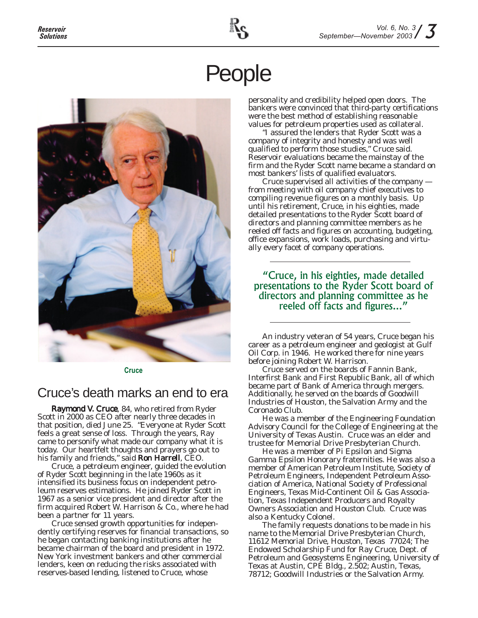## People



**Cruce**

### Cruce's death marks an end to era

Raymond V. Cruce, 84, who retired from Ryder Scott in 2000 as CEO after nearly three decades in that position, died June 25. "Everyone at Ryder Scott feels a great sense of loss. Through the years, Ray came to personify what made our company what it is today. Our heartfelt thoughts and prayers go out to his family and friends," said Ron Harrell, CEO.

Cruce, a petroleum engineer, guided the evolution of Ryder Scott beginning in the late 1960s as it intensified its business focus on independent petroleum reserves estimations. He joined Ryder Scott in 1967 as a senior vice president and director after the firm acquired Robert W. Harrison & Co., where he had been a partner for 11 years.

Cruce sensed growth opportunities for independently certifying reserves for financial transactions, so he began contacting banking institutions after he became chairman of the board and president in 1972. New York investment bankers and other commercial lenders, keen on reducing the risks associated with reserves-based lending, listened to Cruce, whose

personality and credibility helped open doors. The bankers were convinced that third-party certifications were the best method of establishing reasonable values for petroleum properties used as collateral.

"I assured the lenders that Ryder Scott was a company of integrity and honesty and was well qualified to perform those studies," Cruce said. Reservoir evaluations became the mainstay of the firm and the Ryder Scott name became a standard on most bankers' lists of qualified evaluators.

Cruce supervised all activities of the company from meeting with oil company chief executives to compiling revenue figures on a monthly basis. Up until his retirement, Cruce, in his eighties, made detailed presentations to the Ryder Scott board of directors and planning committee members as he reeled off facts and figures on accounting, budgeting, office expansions, work loads, purchasing and virtually every facet of company operations.

"Cruce, in his eighties, made detailed presentations to the Ryder Scott board of directors and planning committee as he reeled off facts and figures..."

An industry veteran of 54 years, Cruce began his career as a petroleum engineer and geologist at Gulf Oil Corp. in 1946. He worked there for nine years before joining Robert W. Harrison.

Cruce served on the boards of Fannin Bank, Interfirst Bank and First Republic Bank, all of which became part of Bank of America through mergers. Additionally, he served on the boards of Goodwill Industries of Houston, the Salvation Army and the Coronado Club.

He was a member of the Engineering Foundation Advisory Council for the College of Engineering at the University of Texas Austin. Cruce was an elder and trustee for Memorial Drive Presbyterian Church.

He was a member of Pi Epsilon and Sigma Gamma Epsilon Honorary fraternities. He was also a member of American Petroleum Institute, Society of Petroleum Engineers, Independent Petroleum Association of America, National Society of Professional Engineers, Texas Mid-Continent Oil & Gas Association, Texas Independent Producers and Royalty Owners Association and Houston Club. Cruce was also a Kentucky Colonel.

The family requests donations to be made in his name to the Memorial Drive Presbyterian Church, 11612 Memorial Drive, Houston, Texas 77024; The Endowed Scholarship Fund for Ray Cruce, Dept. of Petroleum and Geosystems Engineering, University of Texas at Austin, CPE Bldg., 2.502; Austin, Texas, 78712; Goodwill Industries or the Salvation Army.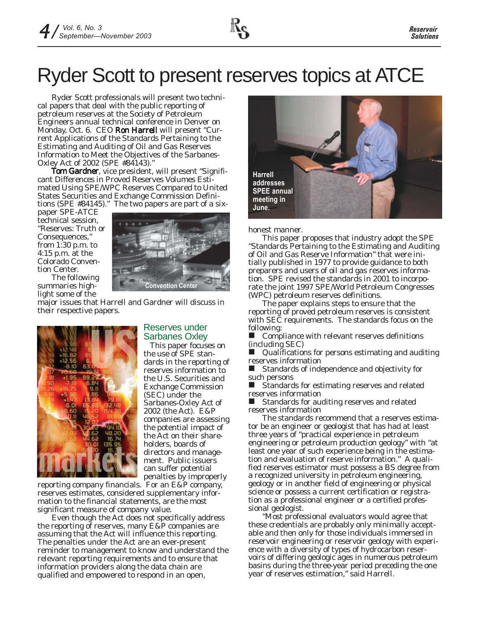# Ryder Scott to present reserves topics at ATCE

Ryder Scott professionals will present two technical papers that deal with the public reporting of petroleum reserves at the Society of Petroleum Engineers annual technical conference in Denver on Monday, Oct. 6. CEO Ron Harrell will present "Current Applications of the Standards Pertaining to the Estimating and Auditing of Oil and Gas Reserves Information to Meet the Objectives of the Sarbanes-Oxley Act of 2002 (SPE #84143)."

Tom Gardner, vice president, will present "Significant Differences in Proved Reserves Volumes Estimated Using SPE/WPC Reserves Compared to United States Securities and Exchange Commission Definitions (SPE #84145)." The two papers are part of a six-

paper SPE-ATCE technical session, "Reserves: Truth or Consequences," from 1:30 p.m. to 4:15 p.m. at the Colorado Convention Center.



The following summaries highlight some of the

major issues that Harrell and Gardner will discuss in their respective papers.



### Reserves under Sarbanes Oxley

This paper focuses on the use of SPE standards in the reporting of reserves information to the U.S. Securities and Exchange Commission (SEC) under the Sarbanes-Oxley Act of 2002 (the Act). E&P companies are assessing the potential impact of the Act on their shareholders, boards of directors and management. Public issuers can suffer potential penalties by improperly

reporting company financials. For an E&P company, reserves estimates, considered supplementary information to the financial statements, are the most significant measure of company value.

Even though the Act does not specifically address the reporting of reserves, many E&P companies are assuming that the Act will influence this reporting. The penalties under the Act are an ever-present reminder to management to know and understand the relevant reporting requirements and to ensure that information providers along the data chain are qualified and empowered to respond in an open,



honest manner.

This paper proposes that industry adopt the SPE "Standards Pertaining to the Estimating and Auditing of Oil and Gas Reserve Information" that were initially published in 1977 to provide guidance to both preparers and users of oil and gas reserves information. SPE revised the standards in 2001 to incorporate the joint 1997 SPE/World Petroleum Congresses (WPC) petroleum reserves definitions.

The paper explains steps to ensure that the reporting of proved petroleum reserves is consistent with SEC requirements. The standards focus on the following:

 Compliance with relevant reserves definitions (including SEC)

 Qualifications for persons estimating and auditing reserves information

 Standards of independence and objectivity for such persons<br>Landard

 Standards for estimating reserves and related reserves information

Standards for auditing reserves and related reserves information

The standards recommend that a reserves estimator be an engineer or geologist that has had at least three years of "practical experience in petroleum engineering or petroleum production geology" with "at least one year of such experience being in the estimation and evaluation of reserve information." A qualified reserves estimator must possess a BS degree from a recognized university in petroleum engineering, geology or in another field of engineering or physical science or possess a current certification or registration as a professional engineer or a certified professional geologist.

"Most professional evaluators would agree that these credentials are probably only minimally acceptable and then only for those individuals immersed in reservoir engineering or reservoir geology with experience with a diversity of types of hydrocarbon reservoirs of differing geologic ages in numerous petroleum basins during the three-year period preceding the one year of reserves estimation," said Harrell.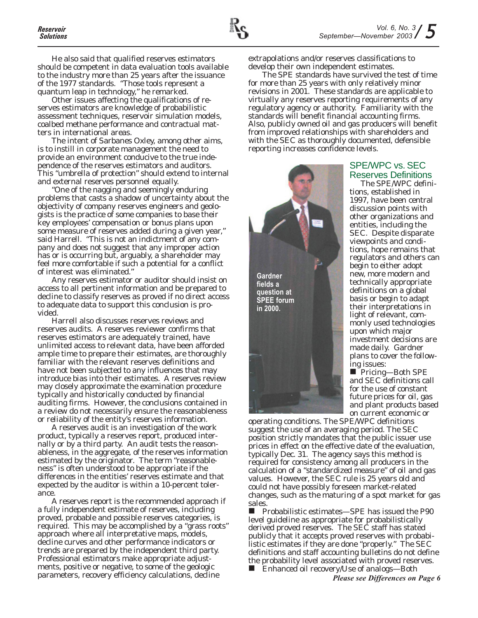He also said that qualified reserves estimators should be competent in data evaluation tools available to the industry more than 25 years after the issuance of the 1977 standards. "Those tools represent a quantum leap in technology," he remarked.

Other issues affecting the qualifications of reserves estimators are knowledge of probabilistic assessment techniques, reservoir simulation models, coalbed methane performance and contractual matters in international areas.

The intent of Sarbanes Oxley, among other aims, is to instill in corporate management the need to provide an environment conducive to the true independence of the reserves estimators and auditors. This "umbrella of protection" should extend to internal and external reserves personnel equally.

"One of the nagging and seemingly enduring problems that casts a shadow of uncertainty about the objectivity of company reserves engineers and geologists is the practice of some companies to base their key employees' compensation or bonus plans upon some measure of reserves added during a given year," said Harrell. "This is not an indictment of any company and does not suggest that any improper action has or is occurring but, arguably, a shareholder may feel more comfortable if such a potential for a conflict of interest was eliminated."

Any reserves estimator or auditor should insist on access to all pertinent information and be prepared to decline to classify reserves as proved if no direct access to adequate data to support this conclusion is provided.

Harrell also discusses reserves reviews and reserves audits. A reserves reviewer confirms that reserves estimators are adequately trained, have unlimited access to relevant data, have been afforded ample time to prepare their estimates, are thoroughly familiar with the relevant reserves definitions and have not been subjected to any influences that may introduce bias into their estimates. A reserves review may closely approximate the examination procedure typically and historically conducted by financial auditing firms. However, the conclusions contained in a review do not necessarily ensure the reasonableness or reliability of the entity's reserves information.

A reserves audit is an investigation of the work product, typically a reserves report, produced internally or by a third party. An audit tests the reasonableness, in the aggregate, of the reserves information estimated by the originator. The term "reasonableness" is often understood to be appropriate if the differences in the entities' reserves estimate and that expected by the auditor is within a 10-percent tolerance.

A reserves report is the recommended approach if a fully independent estimate of reserves, including proved, probable and possible reserves categories, is required. This may be accomplished by a "grass roots" approach where all interpretative maps, models, decline curves and other performance indicators or trends are prepared by the independent third party. Professional estimators make appropriate adjustments, positive or negative, to some of the geologic parameters, recovery efficiency calculations, decline

extrapolations and/or reserves classifications to develop their own independent estimates.

The SPE standards have survived the test of time for more than 25 years with only relatively minor revisions in 2001. These standards are applicable to virtually any reserves reporting requirements of any regulatory agency or authority. Familiarity with the standards will benefit financial accounting firms. Also, publicly owned oil and gas producers will benefit from improved relationships with shareholders and with the SEC as thoroughly documented, defensible reporting increases confidence levels.



### SPE/WPC vs. SEC Reserves Definitions

The SPE/WPC definitions, established in 1997, have been central discussion points with other organizations and entities, including the SEC. Despite disparate viewpoints and conditions, hope remains that regulators and others can begin to either adopt new, more modern and technically appropriate definitions on a global basis or begin to adapt their interpretations in light of relevant, commonly used technologies upon which major investment decisions are made daily. Gardner plans to cover the following issues:

■ Pricing—Both SPE and SEC definitions call for the use of constant future prices for oil, gas and plant products based on current economic or

operating conditions. The SPE/WPC definitions suggest the use of an averaging period. The SEC position strictly mandates that the public issuer use prices in effect on the effective date of the evaluation, typically Dec. 31. The agency says this method is required for consistency among all producers in the calculation of a "standardized measure" of oil and gas values. However, the SEC rule is 25 years old and could not have possibly foreseen market-related changes, such as the maturing of a spot market for gas sales.

 $\blacksquare$  Probabilistic estimates—SPE has issued the P90 level guideline as appropriate for probabilistically derived proved reserves. The SEC staff has stated publicly that it accepts proved reserves with probabilistic estimates if they are done "properly." The SEC definitions and staff accounting bulletins do not define the probability level associated with proved reserves.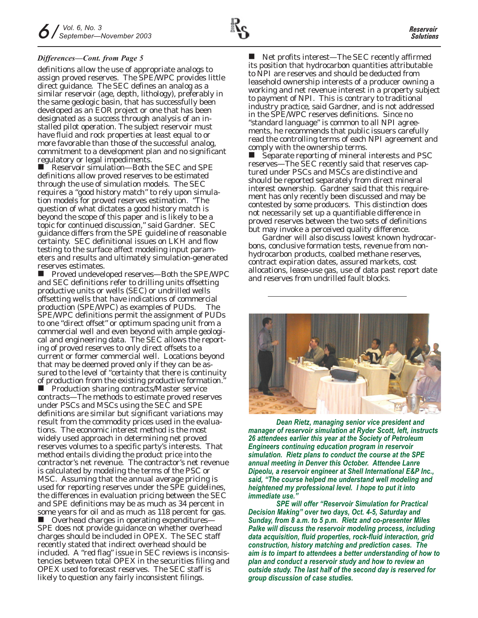definitions allow the use of appropriate analogs to assign proved reserves. The SPE/WPC provides little direct guidance. The SEC defines an analog as a similar reservoir (age, depth, lithology), preferably in the same geologic basin, that has successfully been developed as an EOR project or one that has been designated as a success through analysis of an installed pilot operation. The subject reservoir must have fluid and rock properties at least equal to or more favorable than those of the successful analog, commitment to a development plan and no significant regulatory or legal impediments.

 Reservoir simulation—Both the SEC and SPE definitions allow proved reserves to be estimated through the use of simulation models. The SEC requires a "good history match" to rely upon simulation models for proved reserves estimation. "The question of what dictates a good history match is beyond the scope of this paper and is likely to be a topic for continued discussion," said Gardner. SEC guidance differs from the SPE guideline of reasonable certainty. SEC definitional issues on LKH and flow testing to the surface affect modeling input parameters and results and ultimately simulation-generated reserves estimates.

 Proved undeveloped reserves—Both the SPE/WPC and SEC definitions refer to drilling units offsetting productive units or wells (SEC) or undrilled wells offsetting wells that have indications of commercial production (SPE/WPC) as examples of PUDs. The SPE/WPC definitions permit the assignment of PUDs to one "direct offset" or optimum spacing unit from a commercial well and even beyond with ample geological and engineering data. The SEC allows the reporting of proved reserves to only direct offsets to a current or former commercial well. Locations beyond that may be deemed proved only if they can be assured to the level of "certainty that there is continuity of production from the existing productive formation."

 Production sharing contracts/Master service contracts—The methods to estimate proved reserves under PSCs and MSCs using the SEC and SPE definitions are similar but significant variations may result from the commodity prices used in the evaluations. The economic interest method is the most widely used approach in determining net proved reserves volumes to a specific party's interests. That method entails dividing the product price into the contractor's net revenue. The contractor's net revenue is calculated by modeling the terms of the PSC or MSC. Assuming that the annual average pricing is used for reporting reserves under the SPE guidelines, the differences in evaluation pricing between the SEC and SPE definitions may be as much as 34 percent in some years for oil and as much as 118 percent for gas.

■ Overhead charges in operating expenditures— SPE does not provide guidance on whether overhead charges should be included in OPEX. The SEC staff recently stated that indirect overhead should be included. A "red flag" issue in SEC reviews is inconsistencies between total OPEX in the securities filing and OPEX used to forecast reserves. The SEC staff is likely to question any fairly inconsistent filings.

*Differences—Cont. from Page 5* Net profits interest—The SEC recently affirmed its position that hydrocarbon quantities attributable to NPI are reserves and should be deducted from leasehold ownership interests of a producer owning a working and net revenue interest in a property subject to payment of NPI. This is contrary to traditional industry practice, said Gardner, and is not addressed in the SPE/WPC reserves definitions. Since no "standard language" is common to all NPI agreements, he recommends that public issuers carefully read the controlling terms of each NPI agreement and comply with the ownership terms.

> ■ Separate reporting of mineral interests and PSC reserves—The SEC recently said that reserves captured under PSCs and MSCs are distinctive and should be reported separately from direct mineral interest ownership. Gardner said that this requirement has only recently been discussed and may be contested by some producers. This distinction does not necessarily set up a quantifiable difference in proved reserves between the two sets of definitions but may invoke a perceived quality difference.

Gardner will also discuss lowest known hydrocarbons, conclusive formation tests, revenue from nonhydrocarbon products, coalbed methane reserves, contract expiration dates, assured markets, cost allocations, lease-use gas, use of data past report date and reserves from undrilled fault blocks.



*Dean Rietz, managing senior vice president and manager of reservoir simulation at Ryder Scott, left, instructs 26 attendees earlier this year at the Society of Petroleum Engineers continuing education program in reservoir simulation. Rietz plans to conduct the course at the SPE annual meeting in Denver this October. Attendee Lanre Dipeolu, a reservoir engineer at Shell International E&P Inc., said, "The course helped me understand well modeling and heightened my professional level. I hope to put it into immediate use."*

*SPE will offer "Reservoir Simulation for Practical Decision Making" over two days, Oct. 4-5, Saturday and Sunday, from 8 a.m. to 5 p.m. Rietz and co-presenter Miles Palke will discuss the reservoir modeling process, including data acquisition, fluid properties, rock-fluid interaction, grid construction, history matching and prediction cases. The aim is to impart to attendees a better understanding of how to plan and conduct a reservoir study and how to review an outside study. The last half of the second day is reserved for group discussion of case studies.*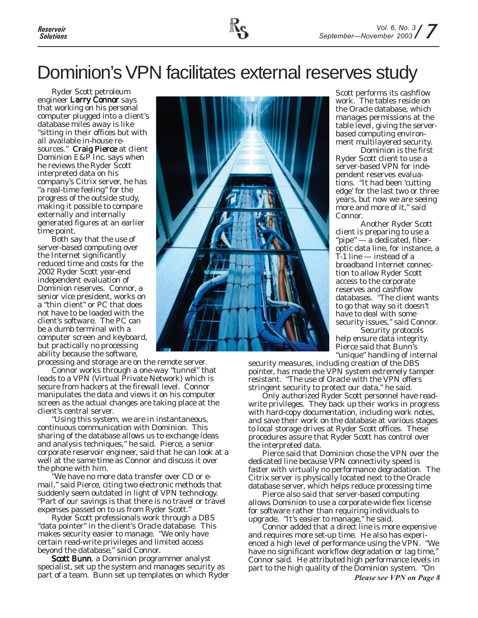## Dominion's VPN facilitates external reserves study

Ryder Scott petroleum engineer Larry Connor says that working on his personal computer plugged into a client's database miles away is like "sitting in their offices but with all available in-house resources." Craig Pierce at client Dominion E&P Inc. says when he reviews the Ryder Scott interpreted data on his company's Citrix server, he has "a real-time feeling" for the progress of the outside study, making it possible to compare externally and internally generated figures at an earlier time point.

Both say that the use of server-based computing over the Internet significantly reduced time and costs for the 2002 Ryder Scott year-end independent evaluation of Dominion reserves. Connor, a senior vice president, works on a "thin client" or PC that does not have to be loaded with the client's software. The PC can be a dumb terminal with a computer screen and keyboard, but practically no processing ability because the software,

processing and storage are on the remote server.

Connor works through a one-way "tunnel" that leads to a VPN (Virtual Private Network) which is secure from hackers at the firewall level. Connor manipulates the data and views it on his computer screen as the actual changes are taking place at the client's central server.

"Using this system, we are in instantaneous, continuous communication with Dominion. This sharing of the database allows us to exchange ideas and analysis techniques," he said. Pierce, a senior corporate reservoir engineer, said that he can look at a well at the same time as Connor and discuss it over the phone with him.

"We have no more data transfer over CD or email," said Pierce, citing two electronic methods that suddenly seem outdated in light of VPN technology. "Part of our savings is that there is no travel or travel expenses passed on to us from Ryder Scott."

Ryder Scott professionals work through a DBS "data pointer" in the client's Oracle database. This makes security easier to manage. "We only have certain read-write privileges and limited access beyond the database," said Connor.

**Scott Bunn**, a Dominion programmer analyst specialist, set up the system and manages security as part of a team. Bunn set up templates on which Ryder



Scott performs its cashflow work. The tables reside on the Oracle database, which manages permissions at the table level, giving the serverbased computing environment multilayered security.

Dominion is the first Ryder Scott client to use a server-based VPN for independent reserves evaluations. "It had been 'cutting edge' for the last two or three years, but now we are seeing more and more of it," said Connor.

Another Ryder Scott client is preparing to use a "pipe" — a dedicated, fiberoptic data line, for instance, a T-1 line — instead of a broadband Internet connection to allow Ryder Scott access to the corporate reserves and cashflow databases. "The client wants to go that way so it doesn't have to deal with some security issues," said Connor.

Security protocols help ensure data integrity. Pierce said that Bunn's "unique" handling of internal

security measures, including creation of the DBS pointer, has made the VPN system extremely tamper resistant. "The use of Oracle with the VPN offers stringent security to protect our data," he said.

Only authorized Ryder Scott personnel have readwrite privileges. They back up their works in progress with hard-copy documentation, including work notes, and save their work on the database at various stages to local storage drives at Ryder Scott offices. These procedures assure that Ryder Scott has control over the interpreted data.

Pierce said that Dominion chose the VPN over the dedicated line because VPN connectivity speed is faster with virtually no performance degradation. The Citrix server is physically located next to the Oracle database server, which helps reduce processing time

Pierce also said that server-based computing allows Dominion to use a corporate-wide flex license for software rather than requiring individuals to upgrade. "It's easier to manage," he said.

Connor added that a direct line is more expensive and requires more set-up time. He also has experienced a high level of performance using the VPN. "We have no significant workflow degradation or lag time," Connor said. He attributed high performance levels in part to the high quality of the Dominion system. "On